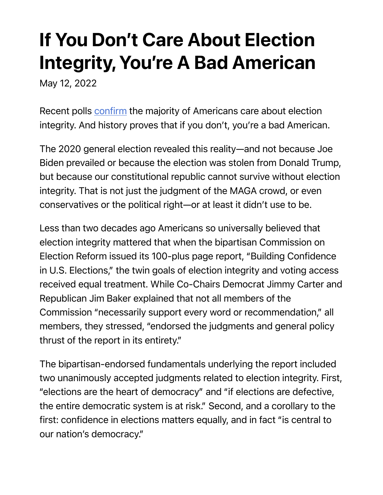## If You Don't Care About Election Integrity, You're A Bad American

May 12, 2022

Recent polls confirm the majority of Americans care about election integrity. And history proves that if you don't, you're a bad American.

The 2020 general election revealed this reality—and not because Joe Biden prevailed or because the election was stolen from Donald Trump, but because our constitutional republic cannot survive without election integrity. That is not just the judgment of the MAGA crowd, or even conservatives or the political right—or at least it didn't use to be.

Less than two decades ago Americans so universally believed that election integrity mattered that when the bipartisan Commission on Election Reform issued its 100-plus page report, "Building Confidence in U.S. Elections," the twin goals of election integrity and voting access received equal treatment. While Co-Chairs Democrat Jimmy Carter and Republican Jim Baker explained that not all members of the Commission "necessarily support every word or recommendation," all members, they stressed, "endorsed the judgments and general policy thrust of the report in its entirety."

The bipartisan-endorsed fundamentals underlying the report included two unanimously accepted judgments related to election integrity. First, "elections are the heart of democracy" and "if elections are defective, the entire democratic system is at risk." Second, and a corollary to the first: confidence in elections matters equally, and in fact "is central to our nation's democracy."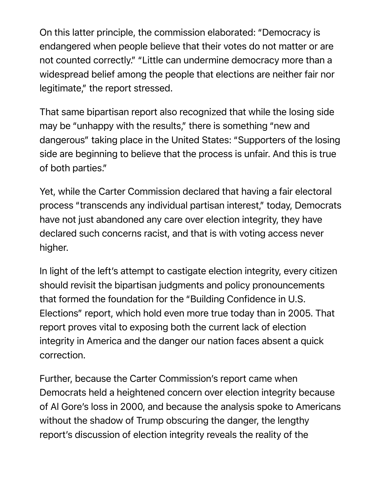On this latter principle, the commission elaborated: "Democracy is endangered when people believe that their votes do not matter or are not counted correctly." "Little can undermine democracy more than a widespread belief among the people that elections are neither fair nor legitimate," the report stressed.

That same bipartisan report also recognized that while the losing side may be "unhappy with the results," there is something "new and dangerous" taking place in the United States: "Supporters of the losing side are beginning to believe that the process is unfair. And this is true of both parties."

Yet, while the Carter Commission declared that having a fair electoral process "transcends any individual partisan interest," today, Democrats have not just abandoned any care over election integrity, they have declared such concerns racist, and that is with voting access never higher.

In light of the left's attempt to castigate election integrity, every citizen should revisit the bipartisan judgments and policy pronouncements that formed the foundation for the "Building Confidence in U.S. Elections" report, which hold even more true today than in 2005. That report proves vital to exposing both the current lack of election integrity in America and the danger our nation faces absent a quick correction.

Further, because the Carter Commission's report came when Democrats held a heightened concern over election integrity because of Al Gore's loss in 2000, and because the analysis spoke to Americans without the shadow of Trump obscuring the danger, the lengthy report's discussion of election integrity reveals the reality of the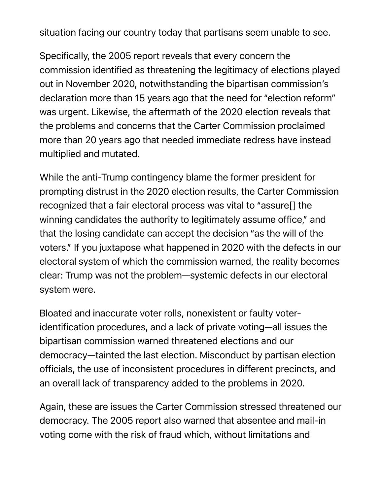situation facing our country today that partisans seem unable to see.

Specifically, the 2005 report reveals that every concern the commission identified as threatening the legitimacy of elections played out in November 2020, notwithstanding the bipartisan commission's declaration more than 15 years ago that the need for "election reform" was urgent. Likewise, the aftermath of the 2020 election reveals that the problems and concerns that the Carter Commission proclaimed more than 20 years ago that needed immediate redress have instead multiplied and mutated.

While the anti-Trump contingency blame the former president for prompting distrust in the 2020 election results, the Carter Commission recognized that a fair electoral process was vital to "assure[] the winning candidates the authority to legitimately assume office," and that the losing candidate can accept the decision "as the will of the voters." If you juxtapose what happened in 2020 with the defects in our electoral system of which the commission warned, the reality becomes clear: Trump was not the problem—systemic defects in our electoral system were.

Bloated and inaccurate voter rolls, nonexistent or faulty voteridentification procedures, and a lack of private voting—all issues the bipartisan commission warned threatened elections and our democracy—tainted the last election. Misconduct by partisan election officials, the use of inconsistent procedures in different precincts, and an overall lack of transparency added to the problems in 2020.

Again, these are issues the Carter Commission stressed threatened our democracy. The 2005 report also warned that absentee and mail-in voting come with the risk of fraud which, without limitations and